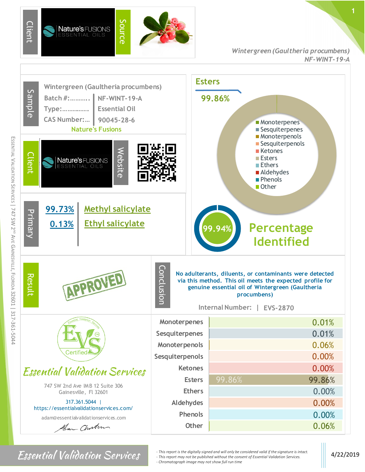

## *Wintergreen (Gaultheria procumbens) NF-WINT-19-A*



*Fhis report is the digitally signed and will only be considered valid if the signature is intact.* 4/22/2019 *at indigent may not be published without the consent of Essential Validation Services.* 4/22/2019 *- This report may not be published without the consent of Essential Validation Services. - Chromatograph image may not show full run time*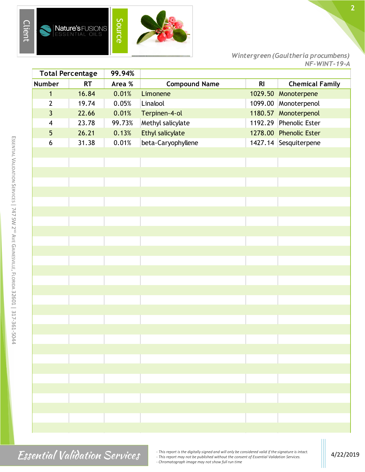

*Wintergreen (Gaultheria procumbens) NF-WINT-19-A*

| <b>Total Percentage</b> |           | 99.94% |                      |                |                        |
|-------------------------|-----------|--------|----------------------|----------------|------------------------|
| Number                  | <b>RT</b> | Area % | <b>Compound Name</b> | R <sub>l</sub> | <b>Chemical Family</b> |
| $\mathbf{1}$            | 16.84     | 0.01%  | Limonene             | 1029.50        | Monoterpene            |
| $\mathbf{2}$            | 19.74     | 0.05%  | Linalool             |                | 1099.00 Monoterpenol   |
| $\overline{3}$          | 22.66     | 0.01%  | Terpinen-4-ol        |                | 1180.57 Monoterpenol   |
| $\overline{\mathbf{4}}$ | 23.78     | 99.73% | Methyl salicylate    | 1192.29        | Phenolic Ester         |
| 5                       | 26.21     | 0.13%  | Ethyl salicylate     |                | 1278.00 Phenolic Ester |
| 6                       | 31.38     | 0.01%  | beta-Caryophyllene   |                | 1427.14 Sesquiterpene  |
|                         |           |        |                      |                |                        |
|                         |           |        |                      |                |                        |
|                         |           |        |                      |                |                        |
|                         |           |        |                      |                |                        |
|                         |           |        |                      |                |                        |
|                         |           |        |                      |                |                        |
|                         |           |        |                      |                |                        |
|                         |           |        |                      |                |                        |
|                         |           |        |                      |                |                        |
|                         |           |        |                      |                |                        |
|                         |           |        |                      |                |                        |
|                         |           |        |                      |                |                        |
|                         |           |        |                      |                |                        |
|                         |           |        |                      |                |                        |
|                         |           |        |                      |                |                        |
|                         |           |        |                      |                |                        |
|                         |           |        |                      |                |                        |
|                         |           |        |                      |                |                        |
|                         |           |        |                      |                |                        |
|                         |           |        |                      |                |                        |
|                         |           |        |                      |                |                        |
|                         |           |        |                      |                |                        |
|                         |           |        |                      |                |                        |
|                         |           |        |                      |                |                        |
|                         |           |        |                      |                |                        |
|                         |           |        |                      |                |                        |
|                         |           |        |                      |                |                        |
|                         |           |        |                      |                |                        |
|                         |           |        |                      |                |                        |

ESSENTIAL

VALIDATION SERVICES |

*Finis report is the digitally signed and will only be considered valid if the signature is intact.*<br> *Allightantics, Allignation Services* 4/22/2019<br> *Changebour frage way not be published without the consent of Essential - This report may not be published without the consent of Essential Validation Services. - Chromatograph image may not show full run time*

**2**